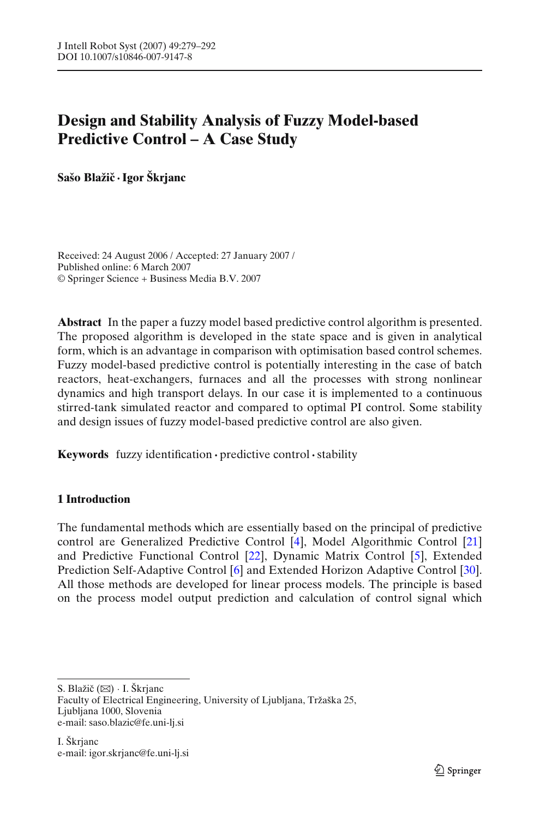# **Design and Stability Analysis of Fuzzy Model-based Predictive Control – A Case Study**

**Sašo Blažicˇ ·Igor Škrjanc**

Received: 24 August 2006 / Accepted: 27 January 2007 / Published online: 6 March 2007 © Springer Science + Business Media B.V. 2007

**Abstract** In the paper a fuzzy model based predictive control algorithm is presented. The proposed algorithm is developed in the state space and is given in analytical form, which is an advantage in comparison with optimisation based control schemes. Fuzzy model-based predictive control is potentially interesting in the case of batch reactors, heat-exchangers, furnaces and all the processes with strong nonlinear dynamics and high transport delays. In our case it is implemented to a continuous stirred-tank simulated reactor and compared to optimal PI control. Some stability and design issues of fuzzy model-based predictive control are also given.

**Keywords** fuzzy identification **·** predictive control**·**stability

## **1 Introduction**

The fundamental methods which are essentially based on the principal of predictive control are Generalized Predictive Control [\[4](#page-13-0)], Model Algorithmic Control [\[21](#page-13-0)] and Predictive Functional Control [\[22](#page-13-0)], Dynamic Matrix Control [\[5](#page-13-0)], Extended Prediction Self-Adaptive Control [\[6](#page-13-0)] and Extended Horizon Adaptive Control [\[30](#page-13-0)]. All those methods are developed for linear process models. The principle is based on the process model output prediction and calculation of control signal which

S. Blažič  $(\boxtimes)$  · I. Škrjanc Faculty of Electrical Engineering, University of Ljubljana, Tržaška 25, Ljubljana 1000, Slovenia e-mail: saso.blazic@fe.uni-lj.si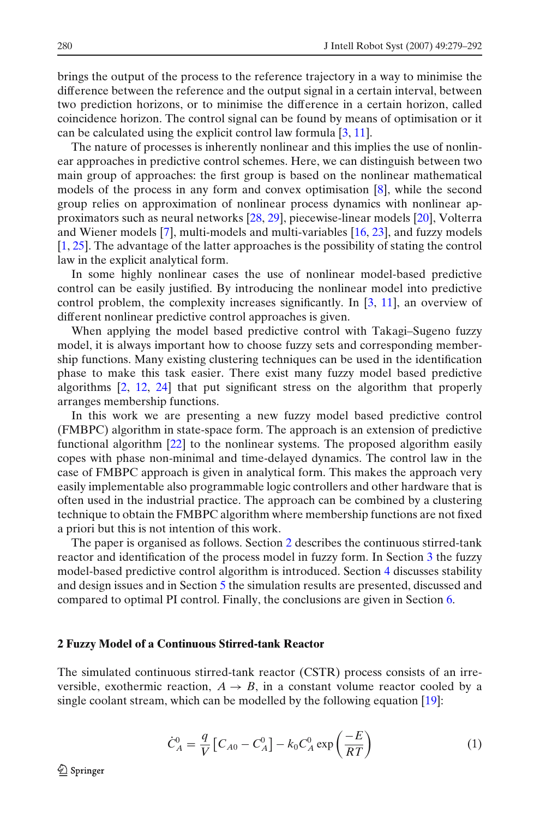brings the output of the process to the reference trajectory in a way to minimise the difference between the reference and the output signal in a certain interval, between two prediction horizons, or to minimise the difference in a certain horizon, called coincidence horizon. The control signal can be found by means of optimisation or it can be calculated using the explicit control law formula [\[3,](#page-13-0) [11\]](#page-13-0).

The nature of processes is inherently nonlinear and this implies the use of nonlinear approaches in predictive control schemes. Here, we can distinguish between two main group of approaches: the first group is based on the nonlinear mathematical models of the process in any form and convex optimisation [\[8](#page-13-0)], while the second group relies on approximation of nonlinear process dynamics with nonlinear approximators such as neural networks [\[28](#page-13-0), [29\]](#page-13-0), piecewise-linear models [\[20](#page-13-0)], Volterra and Wiener models [\[7](#page-13-0)], multi-models and multi-variables [\[16](#page-13-0), [23\]](#page-13-0), and fuzzy models [\[1,](#page-12-0) [25\]](#page-13-0). The advantage of the latter approaches is the possibility of stating the control law in the explicit analytical form.

In some highly nonlinear cases the use of nonlinear model-based predictive control can be easily justified. By introducing the nonlinear model into predictive control problem, the complexity increases significantly. In [\[3](#page-13-0), [11\]](#page-13-0), an overview of different nonlinear predictive control approaches is given.

When applying the model based predictive control with Takagi–Sugeno fuzzy model, it is always important how to choose fuzzy sets and corresponding membership functions. Many existing clustering techniques can be used in the identification phase to make this task easier. There exist many fuzzy model based predictive algorithms [\[2](#page-12-0), [12,](#page-13-0) [24\]](#page-13-0) that put significant stress on the algorithm that properly arranges membership functions.

In this work we are presenting a new fuzzy model based predictive control (FMBPC) algorithm in state-space form. The approach is an extension of predictive functional algorithm [\[22](#page-13-0)] to the nonlinear systems. The proposed algorithm easily copes with phase non-minimal and time-delayed dynamics. The control law in the case of FMBPC approach is given in analytical form. This makes the approach very easily implementable also programmable logic controllers and other hardware that is often used in the industrial practice. The approach can be combined by a clustering technique to obtain the FMBPC algorithm where membership functions are not fixed a priori but this is not intention of this work.

The paper is organised as follows. Section 2 describes the continuous stirred-tank reactor and identification of the process model in fuzzy form. In Section [3](#page-6-0) the fuzzy model-based predictive control algorithm is introduced. Section [4](#page-9-0) discusses stability and design issues and in Section [5](#page-10-0) the simulation results are presented, discussed and compared to optimal PI control. Finally, the conclusions are given in Section [6.](#page-12-0)

#### **2 Fuzzy Model of a Continuous Stirred-tank Reactor**

The simulated continuous stirred-tank reactor (CSTR) process consists of an irreversible, exothermic reaction,  $A \rightarrow B$ , in a constant volume reactor cooled by a single coolant stream, which can be modelled by the following equation [\[19\]](#page-13-0):

$$
\dot{C}_A^0 = \frac{q}{V} \left[ C_{A0} - C_A^0 \right] - k_0 C_A^0 \exp\left(\frac{-E}{RT}\right) \tag{1}
$$

 $\mathcal{Q}$  Springer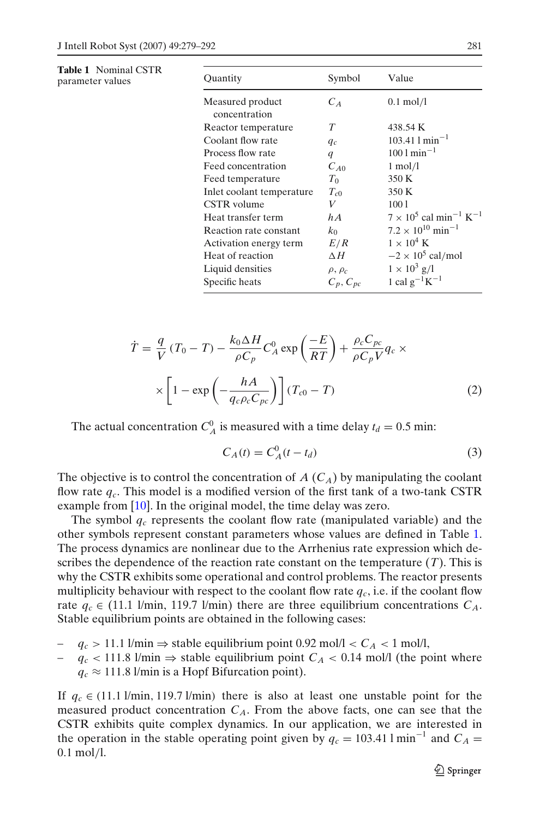**Table 1** Nominal CSTR parameter values

| Quantity                          | Symbol           | Value                                                 |
|-----------------------------------|------------------|-------------------------------------------------------|
| Measured product<br>concentration | $C_A$            | $0.1 \text{ mol/l}$                                   |
| Reactor temperature               | T                | 438.54 K                                              |
| Coolant flow rate                 | $q_c$            | $103.41$ l min <sup>-1</sup>                          |
| Process flow rate                 | $\boldsymbol{q}$ | $1001 \text{ min}^{-1}$                               |
| Feed concentration                | $C_{A0}$         | $1 \text{ mol/l}$                                     |
| Feed temperature                  | $T_0$            | 350 K                                                 |
| Inlet coolant temperature         | $T_{c0}$         | 350 K                                                 |
| CSTR volume                       | V                | 1001                                                  |
| Heat transfer term                | h A              | $7 \times 10^5$ cal min <sup>-1</sup> K <sup>-1</sup> |
| Reaction rate constant            | $k_0$            | $7.2 \times 10^{10}$ min <sup>-1</sup>                |
| Activation energy term            | E/R              | $1 \times 10^4$ K                                     |
| Heat of reaction                  | $\Delta H$       | $-2 \times 10^5$ cal/mol                              |
| Liquid densities                  | $\rho, \rho_c$   | $1 \times 10^3$ g/l                                   |
| Specific heats                    | $C_p, C_{pc}$    | 1 cal $g^{-1}K^{-1}$                                  |

$$
\dot{T} = \frac{q}{V} (T_0 - T) - \frac{k_0 \Delta H}{\rho C_p} C_A^0 \exp\left(\frac{-E}{RT}\right) + \frac{\rho_c C_{pc}}{\rho C_p V} q_c \times \times \left[1 - \exp\left(-\frac{hA}{q_c \rho_c C_{pc}}\right)\right] (T_{c0} - T) \tag{2}
$$

The actual concentration  $C_A^0$  is measured with a time delay  $t_d = 0.5$  min:

$$
C_A(t) = C_A^0(t - t_d) \tag{3}
$$

The objective is to control the concentration of  $A$  ( $C_A$ ) by manipulating the coolant flow rate  $q_c$ . This model is a modified version of the first tank of a two-tank CSTR example from [\[10](#page-13-0)]. In the original model, the time delay was zero.

The symbol  $q_c$  represents the coolant flow rate (manipulated variable) and the other symbols represent constant parameters whose values are defined in Table 1. The process dynamics are nonlinear due to the Arrhenius rate expression which describes the dependence of the reaction rate constant on the temperature (*T*). This is why the CSTR exhibits some operational and control problems. The reactor presents multiplicity behaviour with respect to the coolant flow rate  $q_c$ , i.e. if the coolant flow rate  $q_c \in (11.1 \text{ l/min}, 119.7 \text{ l/min})$  there are three equilibrium concentrations  $C_A$ . Stable equilibrium points are obtained in the following cases:

- $q_c > 11.1$  l/min ⇒ stable equilibrium point 0.92 mol/l <  $C_A$  < 1 mol/l,
- *qc* < 111.8 l/min ⇒ stable equilibrium point *CA* < 0.14 mol/l (the point where  $q_c \approx 111.8$  l/min is a Hopf Bifurcation point).

If  $q_c \in (11.1 \text{ l/min}, 119.7 \text{ l/min})$  there is also at least one unstable point for the measured product concentration  $C_A$ . From the above facts, one can see that the CSTR exhibits quite complex dynamics. In our application, we are interested in the operation in the stable operating point given by  $q_c = 103.41 \text{ I min}^{-1}$  and  $C_A =$ 0.1 mol/l.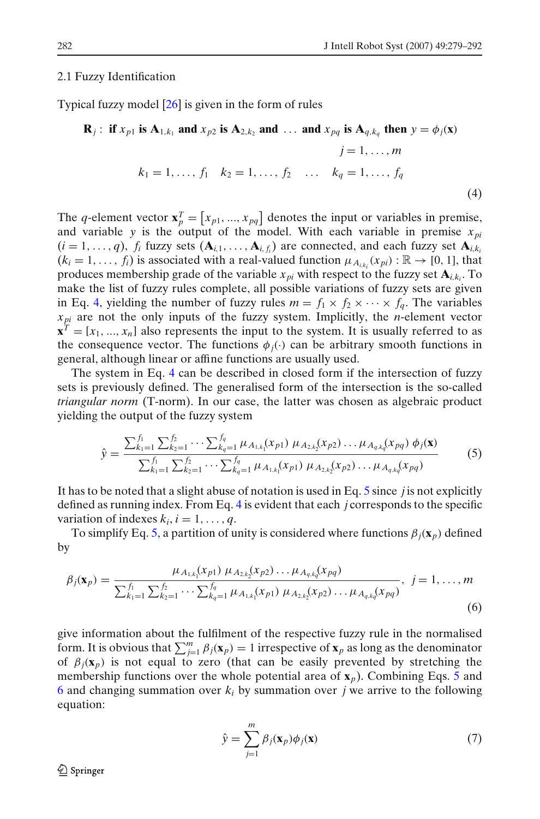#### <span id="page-3-0"></span>2.1 Fuzzy Identification

Typical fuzzy model [\[26\]](#page-13-0) is given in the form of rules

$$
\mathbf{R}_{j}: \text{ if } x_{p1} \text{ is } \mathbf{A}_{1,k_{1}} \text{ and } x_{p2} \text{ is } \mathbf{A}_{2,k_{2}} \text{ and } \dots \text{ and } x_{pq} \text{ is } \mathbf{A}_{q,k_{q}} \text{ then } y = \phi_{j}(\mathbf{x})
$$
\n
$$
j = 1, \dots, m
$$
\n
$$
k_{1} = 1, \dots, f_{1} \quad k_{2} = 1, \dots, f_{2} \quad \dots \quad k_{q} = 1, \dots, f_{q}
$$
\n(4)

The *q*-element vector  $\mathbf{x}_p^T = [x_{p1}, ..., x_{pq}]$  denotes the input or variables in premise, and variable *y* is the output of the model. With each variable in premise  $x_{pi}$  $(i = 1, ..., q)$ ,  $f_i$  fuzzy sets  $(A_{i,1}, ..., A_{i,f_i})$  are connected, and each fuzzy set  $A_{i,k_i}$  $(k_i = 1, \ldots, f_i)$  is associated with a real-valued function  $\mu_{A_{i,k_i}}(x_{pi}) : \mathbb{R} \to [0, 1]$ , that produces membership grade of the variable  $x_{pi}$  with respect to the fuzzy set  $\mathbf{A}_{i,k_i}$ . To make the list of fuzzy rules complete, all possible variations of fuzzy sets are given in Eq. 4, yielding the number of fuzzy rules  $m = f_1 \times f_2 \times \cdots \times f_q$ . The variables *xpi* are not the only inputs of the fuzzy system. Implicitly, the *n*-element vector  $\mathbf{x}^T = [x_1, ..., x_n]$  also represents the input to the system. It is usually referred to as the consequence vector. The functions  $\phi_i(\cdot)$  can be arbitrary smooth functions in general, although linear or affine functions are usually used.

The system in Eq. 4 can be described in closed form if the intersection of fuzzy sets is previously defined. The generalised form of the intersection is the so-called *triangular norm* (T-norm). In our case, the latter was chosen as algebraic product yielding the output of the fuzzy system

$$
\hat{y} = \frac{\sum_{k_1=1}^{f_1} \sum_{k_2=1}^{f_2} \cdots \sum_{k_q=1}^{f_q} \mu_{A_{1,k_1}}(x_{p1}) \mu_{A_{2,k_2}}(x_{p2}) \dots \mu_{A_q,k_q}(x_{pq}) \phi_j(\mathbf{x})}{\sum_{k_1=1}^{f_1} \sum_{k_2=1}^{f_2} \cdots \sum_{k_q=1}^{f_q} \mu_{A_{1,k_1}}(x_{p1}) \mu_{A_{2,k_2}}(x_{p2}) \dots \mu_{A_q,k_q}(x_{pq})}
$$
(5)

It has to be noted that a slight abuse of notation is used in Eq. 5 since *j* is not explicitly defined as running index. From Eq. 4 is evident that each *j* corresponds to the specific variation of indexes  $k_i$ ,  $i = 1, \ldots, q$ .

To simplify Eq. 5, a partition of unity is considered where functions  $\beta_i(\mathbf{x}_p)$  defined by

$$
\beta_j(\mathbf{x}_p) = \frac{\mu_{A_{1,k_1}}(x_{p1}) \mu_{A_{2,k_2}}(x_{p2}) \dots \mu_{A_{q,k_q}}(x_{pq})}{\sum_{k_1=1}^f \sum_{k_2=1}^f \dots \sum_{k_q=1}^{f_q} \mu_{A_{1,k_1}}(x_{p1}) \mu_{A_{2,k_2}}(x_{p2}) \dots \mu_{A_{q,k_q}}(x_{pq})}, \quad j = 1, \dots, m
$$
\n(6)

give information about the fulfilment of the respective fuzzy rule in the normalised form. It is obvious that  $\sum_{j=1}^{m} \beta_j(\mathbf{x}_p) = 1$  irrespective of  $\mathbf{x}_p$  as long as the denominator of  $\beta_j(\mathbf{x}_p)$  is not equal to zero (that can be easily prevented by stretching the membership functions over the whole potential area of **x***p*). Combining Eqs. 5 and 6 and changing summation over *ki* by summation over *j* we arrive to the following equation:

$$
\hat{y} = \sum_{j=1}^{m} \beta_j(\mathbf{x}_p) \phi_j(\mathbf{x})
$$
\n(7)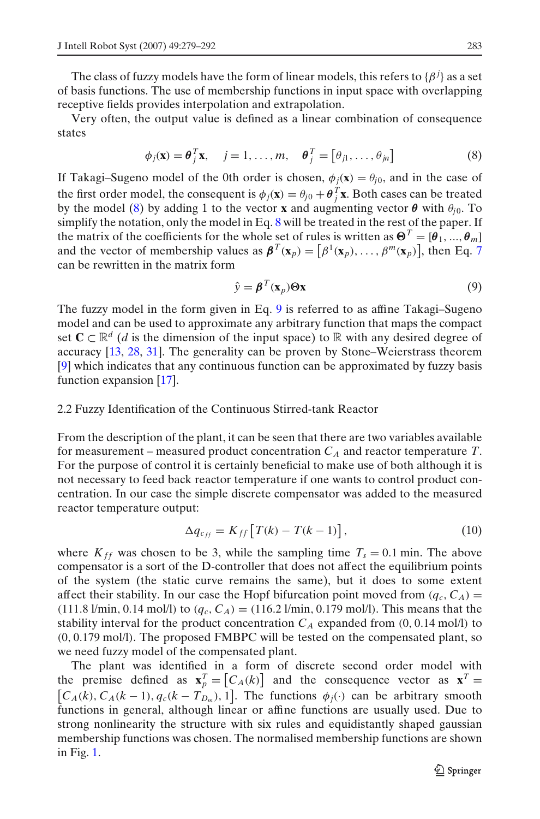The class of fuzzy models have the form of linear models, this refers to  $\{\beta^j\}$  as a set of basis functions. The use of membership functions in input space with overlapping receptive fields provides interpolation and extrapolation.

Very often, the output value is defined as a linear combination of consequence states

$$
\phi_j(\mathbf{x}) = \boldsymbol{\theta}_j^T \mathbf{x}, \quad j = 1, \dots, m, \quad \boldsymbol{\theta}_j^T = [\theta_{j1}, \dots, \theta_{jn}]
$$
 (8)

If Takagi–Sugeno model of the 0th order is chosen,  $\phi_i(\mathbf{x}) = \theta_{i0}$ , and in the case of the first order model, the consequent is  $\phi_j(\mathbf{x}) = \theta_{j0} + \boldsymbol{\theta}_j^T \mathbf{x}$ . Both cases can be treated by the model (8) by adding 1 to the vector **x** and augmenting vector  $\theta$  with  $\theta_{i0}$ . To simplify the notation, only the model in Eq.  $8$  will be treated in the rest of the paper. If the matrix of the coefficients for the whole set of rules is written as  $\mathbf{\Theta}^T = [\theta_1, ..., \theta_m]$ and the vector of membership values as  $\boldsymbol{\beta}^T(\mathbf{x}_p) = [\beta^1(\mathbf{x}_p), \dots, \beta^m(\mathbf{x}_p)]$ , then Eq. [7](#page-3-0) can be rewritten in the matrix form

$$
\hat{\mathbf{y}} = \boldsymbol{\beta}^T(\mathbf{x}_p) \boldsymbol{\Theta} \mathbf{x} \tag{9}
$$

The fuzzy model in the form given in Eq. 9 is referred to as affine Takagi–Sugeno model and can be used to approximate any arbitrary function that maps the compact set  $C \subset \mathbb{R}^d$  (*d* is the dimension of the input space) to  $\mathbb R$  with any desired degree of accuracy [\[13,](#page-13-0) [28,](#page-13-0) [31\]](#page-13-0). The generality can be proven by Stone–Weierstrass theorem [\[9\]](#page-13-0) which indicates that any continuous function can be approximated by fuzzy basis function expansion [\[17](#page-13-0)].

#### 2.2 Fuzzy Identification of the Continuous Stirred-tank Reactor

From the description of the plant, it can be seen that there are two variables available for measurement – measured product concentration  $C_A$  and reactor temperature *T*. For the purpose of control it is certainly beneficial to make use of both although it is not necessary to feed back reactor temperature if one wants to control product concentration. In our case the simple discrete compensator was added to the measured reactor temperature output:

$$
\Delta q_{c_{ff}} = K_{ff} \left[ T(k) - T(k-1) \right],\tag{10}
$$

where  $K_{ff}$  was chosen to be 3, while the sampling time  $T_s = 0.1$  min. The above compensator is a sort of the D-controller that does not affect the equilibrium points of the system (the static curve remains the same), but it does to some extent affect their stability. In our case the Hopf bifurcation point moved from  $(q_c, C_A)$ (111.8 l/min, 0.14 mol/l) to  $(q_c, C_A) = (116.2 \text{ l/min}, 0.179 \text{ mol/l})$ . This means that the stability interval for the product concentration  $C_A$  expanded from  $(0, 0.14 \text{ mol/l})$  to (0, 0.179 mol/l). The proposed FMBPC will be tested on the compensated plant, so we need fuzzy model of the compensated plant.

The plant was identified in a form of discrete second order model with the premise defined as  $\mathbf{x}_p^T = [C_A(k)]$  and the consequence vector as  $\mathbf{x}^T =$  $[C_A(k), C_A(k-1), q_c(k-T_{D_m}), 1]$ . The functions  $\phi_j(\cdot)$  can be arbitrary smooth functions in general, although linear or affine functions are usually used. Due to strong nonlinearity the structure with six rules and equidistantly shaped gaussian membership functions was chosen. The normalised membership functions are shown in Fig. [1.](#page-5-0)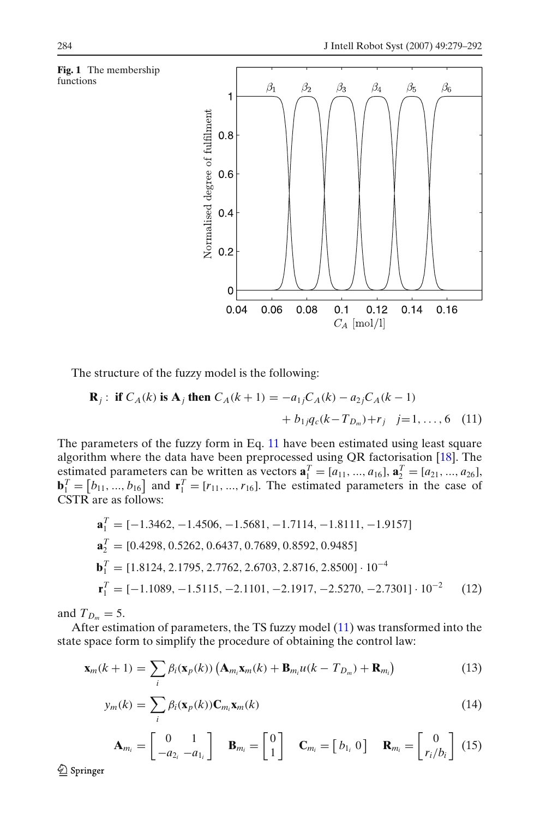<span id="page-5-0"></span>

The structure of the fuzzy model is the following:

$$
\mathbf{R}_{j}: \text{ if } C_{A}(k) \text{ is } \mathbf{A}_{j} \text{ then } C_{A}(k+1) = -a_{1j}C_{A}(k) - a_{2j}C_{A}(k-1) + b_{1j}q_{c}(k-T_{D_{m}}) + r_{j} \quad j=1,\ldots,6 \quad (11)
$$

The parameters of the fuzzy form in Eq. 11 have been estimated using least square algorithm where the data have been preprocessed using QR factorisation [\[18\]](#page-13-0). The estimated parameters can be written as vectors  $\mathbf{a}_1^T = [a_{11}, ..., a_{16}]$ ,  $\mathbf{a}_2^T = [a_{21}, ..., a_{26}]$ ,  **and**  $**r**<sub>1</sub><sup>T</sup> = [r<sub>11</sub>, ..., r<sub>16</sub>].$  **The estimated parameters in the case of** CSTR are as follows:

$$
\mathbf{a}_1^T = [-1.3462, -1.4506, -1.5681, -1.7114, -1.8111, -1.9157]
$$
  
\n
$$
\mathbf{a}_2^T = [0.4298, 0.5262, 0.6437, 0.7689, 0.8592, 0.9485]
$$
  
\n
$$
\mathbf{b}_1^T = [1.8124, 2.1795, 2.7762, 2.6703, 2.8716, 2.8500] \cdot 10^{-4}
$$
  
\n
$$
\mathbf{r}_1^T = [-1.1089, -1.5115, -2.1101, -2.1917, -2.5270, -2.7301] \cdot 10^{-2}
$$
 (12)

and  $T_{D_m} = 5$ .

After estimation of parameters, the TS fuzzy model (11) was transformed into the state space form to simplify the procedure of obtaining the control law:

$$
\mathbf{x}_{m}(k+1) = \sum_{i} \beta_{i}(\mathbf{x}_{p}(k)) \left( \mathbf{A}_{m_{i}} \mathbf{x}_{m}(k) + \mathbf{B}_{m_{i}} u(k - T_{D_{m}}) + \mathbf{R}_{m_{i}} \right)
$$
(13)

$$
y_m(k) = \sum_i \beta_i(\mathbf{x}_p(k)) \mathbf{C}_{m_i} \mathbf{x}_m(k)
$$
\n(14)

$$
\mathbf{A}_{m_i} = \begin{bmatrix} 0 & 1 \\ -a_{2_i} & -a_{1_i} \end{bmatrix} \quad \mathbf{B}_{m_i} = \begin{bmatrix} 0 \\ 1 \end{bmatrix} \quad \mathbf{C}_{m_i} = \begin{bmatrix} b_{1_i} & 0 \end{bmatrix} \quad \mathbf{R}_{m_i} = \begin{bmatrix} 0 \\ r_i/b_i \end{bmatrix} \tag{15}
$$

 $\mathcal{Q}$  Springer

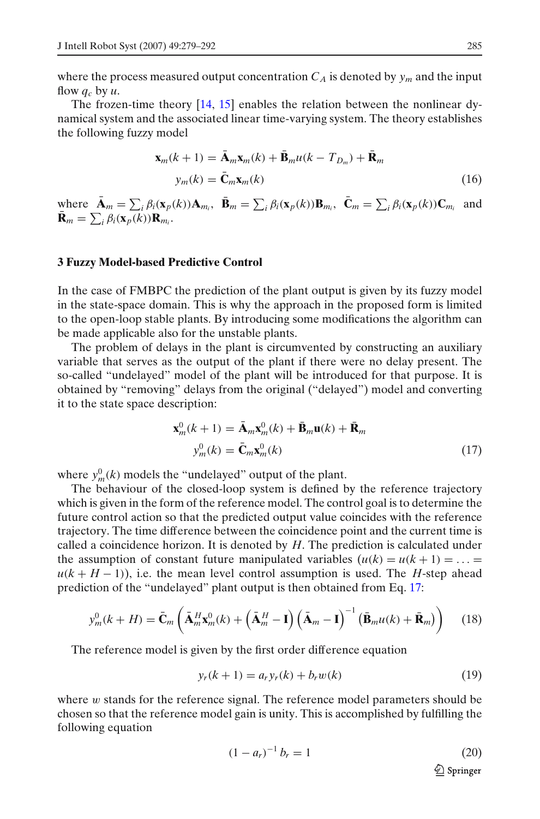<span id="page-6-0"></span>where the process measured output concentration  $C_A$  is denoted by  $y_m$  and the input flow  $q_c$  by  $u$ .

The frozen-time theory [\[14](#page-13-0), [15\]](#page-13-0) enables the relation between the nonlinear dynamical system and the associated linear time-varying system. The theory establishes the following fuzzy model

$$
\mathbf{x}_{m}(k+1) = \tilde{\mathbf{A}}_{m}\mathbf{x}_{m}(k) + \tilde{\mathbf{B}}_{m}u(k - T_{D_{m}}) + \tilde{\mathbf{R}}_{m}
$$
  

$$
y_{m}(k) = \tilde{\mathbf{C}}_{m}\mathbf{x}_{m}(k)
$$
 (16)

where  $\overline{\mathbf{A}}_m = \sum_i \beta_i(\mathbf{x}_p(k)) \mathbf{A}_{m_i}$ ,  $\overline{\mathbf{B}}_m = \sum_i \beta_i(\mathbf{x}_p(k)) \mathbf{B}_{m_i}$ ,  $\overline{\mathbf{C}}_m = \sum_i \beta_i(\mathbf{x}_p(k)) \mathbf{C}_{m_i}$  and  $\bar{\mathbf{R}}_m = \sum_i \beta_i(\mathbf{x}_p(k)) \mathbf{R}_{m_i}.$ 

#### **3 Fuzzy Model-based Predictive Control**

In the case of FMBPC the prediction of the plant output is given by its fuzzy model in the state-space domain. This is why the approach in the proposed form is limited to the open-loop stable plants. By introducing some modifications the algorithm can be made applicable also for the unstable plants.

The problem of delays in the plant is circumvented by constructing an auxiliary variable that serves as the output of the plant if there were no delay present. The so-called "undelayed" model of the plant will be introduced for that purpose. It is obtained by "removing" delays from the original ("delayed") model and converting it to the state space description:

$$
\mathbf{x}_{m}^{0}(k+1) = \bar{\mathbf{A}}_{m}\mathbf{x}_{m}^{0}(k) + \bar{\mathbf{B}}_{m}\mathbf{u}(k) + \bar{\mathbf{R}}_{m}
$$
  

$$
y_{m}^{0}(k) = \bar{\mathbf{C}}_{m}\mathbf{x}_{m}^{0}(k)
$$
 (17)

where  $y_m^0(k)$  models the "undelayed" output of the plant.

The behaviour of the closed-loop system is defined by the reference trajectory which is given in the form of the reference model. The control goal is to determine the future control action so that the predicted output value coincides with the reference trajectory. The time difference between the coincidence point and the current time is called a coincidence horizon. It is denoted by *H*. The prediction is calculated under the assumption of constant future manipulated variables  $(u(k) = u(k + 1) = ... =$  $u(k+H-1)$ , i.e. the mean level control assumption is used. The *H*-step ahead prediction of the "undelayed" plant output is then obtained from Eq. 17:

$$
y_m^0(k+H) = \bar{\mathbf{C}}_m \left( \bar{\mathbf{A}}_m^H \mathbf{x}_m^0(k) + \left( \bar{\mathbf{A}}_m^H - \mathbf{I} \right) \left( \bar{\mathbf{A}}_m - \mathbf{I} \right)^{-1} \left( \bar{\mathbf{B}}_m u(k) + \bar{\mathbf{R}}_m \right) \right) \tag{18}
$$

The reference model is given by the first order difference equation

$$
y_r(k+1) = a_r y_r(k) + b_r w(k)
$$
 (19)

where  $w$  stands for the reference signal. The reference model parameters should be chosen so that the reference model gain is unity. This is accomplished by fulfilling the following equation

$$
(1 - a_r)^{-1} b_r = 1 \tag{20}
$$

 $\textcircled{2}$  Springer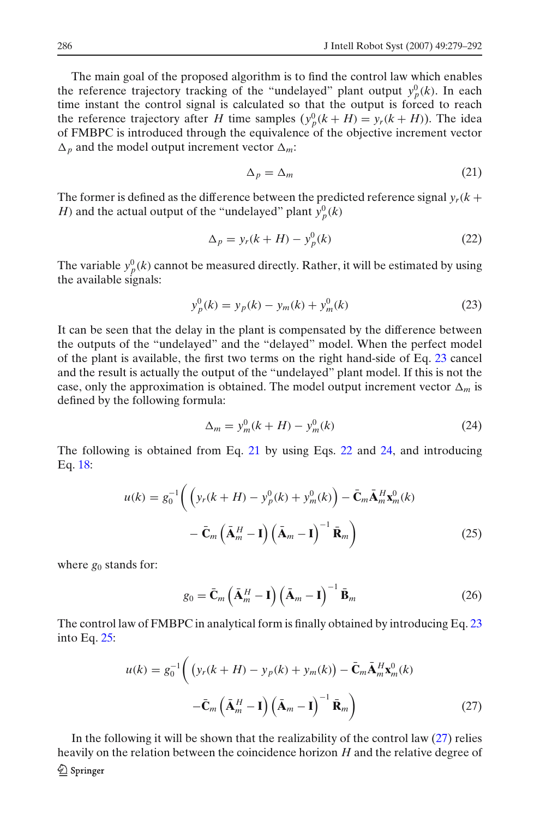<span id="page-7-0"></span>The main goal of the proposed algorithm is to find the control law which enables the reference trajectory tracking of the "undelayed" plant output  $y_p^0(k)$ . In each time instant the control signal is calculated so that the output is forced to reach the reference trajectory after *H* time samples  $(y_p^0(k + H) = y_r(k + H))$ . The idea of FMBPC is introduced through the equivalence of the objective increment vector  $\Delta_p$  and the model output increment vector  $\Delta_m$ .

$$
\Delta_p = \Delta_m \tag{21}
$$

The former is defined as the difference between the predicted reference signal  $y_r(k)$  + *H*) and the actual output of the "undelayed" plant  $y_p^0(k)$ 

$$
\Delta_p = y_r(k+H) - y_p^0(k) \tag{22}
$$

The variable  $y_p^0(k)$  cannot be measured directly. Rather, it will be estimated by using the available signals:

$$
y_p^0(k) = y_p(k) - y_m(k) + y_m^0(k)
$$
 (23)

It can be seen that the delay in the plant is compensated by the difference between the outputs of the "undelayed" and the "delayed" model. When the perfect model of the plant is available, the first two terms on the right hand-side of Eq. 23 cancel and the result is actually the output of the "undelayed" plant model. If this is not the case, only the approximation is obtained. The model output increment vector  $\Delta_m$  is defined by the following formula:

$$
\Delta_m = y_m^0 (k + H) - y_m^0 (k) \tag{24}
$$

The following is obtained from Eq. 21 by using Eqs. 22 and 24, and introducing Eq. [18:](#page-6-0)

$$
u(k) = g_0^{-1} \left( \left( y_r(k+H) - y_p^0(k) + y_m^0(k) \right) - \bar{\mathbf{C}}_m \bar{\mathbf{A}}_m^H \mathbf{x}_m^0(k) - \bar{\mathbf{C}}_m \left( \bar{\mathbf{A}}_m^H - \mathbf{I} \right) \left( \bar{\mathbf{A}}_m - \mathbf{I} \right)^{-1} \bar{\mathbf{R}}_m \right)
$$
(25)

where  $g_0$  stands for:

$$
g_0 = \bar{\mathbf{C}}_m \left( \bar{\mathbf{A}}_m^H - \mathbf{I} \right) \left( \bar{\mathbf{A}}_m - \mathbf{I} \right)^{-1} \bar{\mathbf{B}}_m \tag{26}
$$

The control law of FMBPC in analytical form is finally obtained by introducing Eq. 23 into Eq. 25:

$$
u(k) = g_0^{-1} \left( \left( y_r(k+H) - y_p(k) + y_m(k) \right) - \bar{\mathbf{C}}_m \bar{\mathbf{A}}_m^H \mathbf{x}_m^0(k) - \bar{\mathbf{C}}_m \left( \bar{\mathbf{A}}_m^H - \mathbf{I} \right) \left( \bar{\mathbf{A}}_m - \mathbf{I} \right)^{-1} \bar{\mathbf{R}}_m \right)
$$
(27)

In the following it will be shown that the realizability of the control law (27) relies heavily on the relation between the coincidence horizon *H* and the relative degree of $\mathcal{Q}$  Springer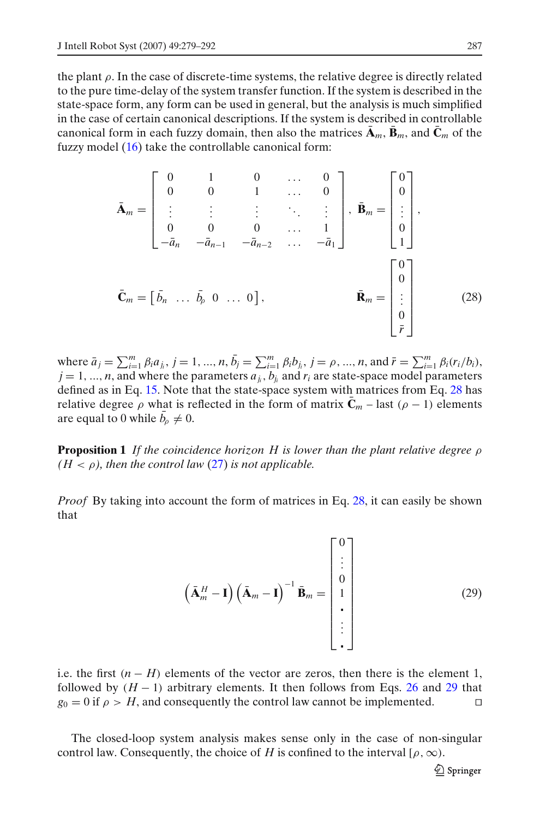<span id="page-8-0"></span>the plant  $\rho$ . In the case of discrete-time systems, the relative degree is directly related to the pure time-delay of the system transfer function. If the system is described in the state-space form, any form can be used in general, but the analysis is much simplified in the case of certain canonical descriptions. If the system is described in controllable canonical form in each fuzzy domain, then also the matrices  $\mathbf{A}_m$ ,  $\mathbf{B}_m$ , and  $\mathbf{C}_m$  of the fuzzy model [\(16\)](#page-6-0) take the controllable canonical form:

$$
\bar{\mathbf{A}}_{m} = \begin{bmatrix} 0 & 1 & 0 & \cdots & 0 \\ 0 & 0 & 1 & \cdots & 0 \\ \vdots & \vdots & \vdots & \ddots & \vdots \\ 0 & 0 & 0 & \cdots & 1 \\ -\bar{a}_{n} & -\bar{a}_{n-1} & -\bar{a}_{n-2} & \cdots & -\bar{a}_{1} \end{bmatrix}, \ \bar{\mathbf{B}}_{m} = \begin{bmatrix} 0 \\ 0 \\ \vdots \\ 0 \\ 1 \end{bmatrix},
$$

$$
\bar{\mathbf{C}}_{m} = \begin{bmatrix} \bar{b}_{n} & \cdots & \bar{b}_{p} & 0 & \cdots & 0 \end{bmatrix}, \qquad \bar{\mathbf{R}}_{m} = \begin{bmatrix} 0 \\ 0 \\ \vdots \\ 0 \\ \vdots \\ 0 \\ \bar{r} \end{bmatrix}
$$
(28)

where  $\bar{a}_j = \sum_{i=1}^m \beta_i a_{j_i}, j = 1, ..., n, \bar{b}_j = \sum_{i=1}^m \beta_i b_{j_i}, j = \rho, ..., n$ , and  $\bar{r} = \sum_{i=1}^m \beta_i (r_i/b_i)$ ,  $j = 1, ..., n$ , and where the parameters  $a_{j_i}, b_{j_i}$  and  $r_i$  are state-space model parameters defined as in Eq. [15.](#page-5-0) Note that the state-space system with matrices from Eq. 28 has relative degree  $\rho$  what is reflected in the form of matrix  $C_m$  – last ( $\rho$  – 1) elements are equal to 0 while  $\bar{b}_\rho \neq 0$ .

**Proposition 1** *If the coincidence horizon H is lower than the plant relative degree* ρ  $(H < \rho)$ , then the control law [\(27\)](#page-7-0) is not applicable.

*Proof* By taking into account the form of matrices in Eq. 28, it can easily be shown that

$$
\left(\bar{\mathbf{A}}_m^H - \mathbf{I}\right) \left(\bar{\mathbf{A}}_m - \mathbf{I}\right)^{-1} \bar{\mathbf{B}}_m = \begin{bmatrix} 0 \\ \vdots \\ 0 \\ 1 \\ \vdots \\ \vdots \end{bmatrix}
$$
 (29)

i.e. the first  $(n - H)$  elements of the vector are zeros, then there is the element 1, followed by  $(H - 1)$  arbitrary elements. It then follows from Eqs. [26](#page-7-0) and 29 that  $g_0 = 0$  if  $\rho > H$ , and consequently the control law cannot be implemented.

The closed-loop system analysis makes sense only in the case of non-singular control law. Consequently, the choice of *H* is confined to the interval [ $\rho, \infty$ ).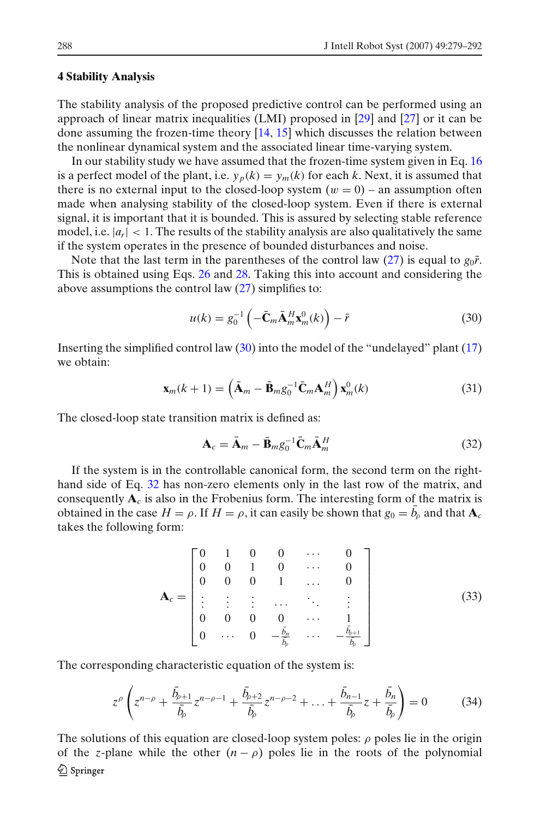#### <span id="page-9-0"></span>**4 Stability Analysis**

The stability analysis of the proposed predictive control can be performed using an approach of linear matrix inequalities (LMI) proposed in [\[29](#page-13-0)] and [\[27](#page-13-0)] or it can be done assuming the frozen-time theory [\[14,](#page-13-0) [15](#page-13-0)] which discusses the relation between the nonlinear dynamical system and the associated linear time-varying system.

In our stability study we have assumed that the frozen-time system given in Eq. [16](#page-6-0) is a perfect model of the plant, i.e.  $y_p(k) = y_m(k)$  for each *k*. Next, it is assumed that there is no external input to the closed-loop system  $(w = 0)$  – an assumption often made when analysing stability of the closed-loop system. Even if there is external signal, it is important that it is bounded. This is assured by selecting stable reference model, i.e.  $|a_r| < 1$ . The results of the stability analysis are also qualitatively the same if the system operates in the presence of bounded disturbances and noise.

Note that the last term in the parentheses of the control law [\(27\)](#page-7-0) is equal to  $g_0\bar{r}$ . This is obtained using Eqs. [26](#page-7-0) and [28.](#page-8-0) Taking this into account and considering the above assumptions the control law [\(27\)](#page-7-0) simplifies to:

$$
u(k) = g_0^{-1} \left( -\bar{\mathbf{C}}_m \bar{\mathbf{A}}_m^H \mathbf{x}_m^0(k) \right) - \bar{r}
$$
 (30)

Inserting the simplified control law (30) into the model of the "undelayed" plant [\(17\)](#page-6-0) we obtain:

$$
\mathbf{x}_{m}(k+1) = \left(\bar{\mathbf{A}}_{m} - \bar{\mathbf{B}}_{m}g_{0}^{-1}\bar{\mathbf{C}}_{m}\mathbf{A}_{m}^{H}\right)\mathbf{x}_{m}^{0}(k)
$$
(31)

The closed-loop state transition matrix is defined as:

$$
\mathbf{A}_c = \bar{\mathbf{A}}_m - \bar{\mathbf{B}}_m g_0^{-1} \bar{\mathbf{C}}_m \bar{\mathbf{A}}_m^H
$$
 (32)

If the system is in the controllable canonical form, the second term on the righthand side of Eq. 32 has non-zero elements only in the last row of the matrix, and consequently  $A_c$  is also in the Frobenius form. The interesting form of the matrix is obtained in the case  $H = \rho$ . If  $H = \rho$ , it can easily be shown that  $g_0 = \bar{b}_{\rho}$  and that  $\mathbf{A}_{\alpha}$ takes the following form:

$$
\mathbf{A}_{c} = \begin{bmatrix} 0 & 1 & 0 & 0 & \cdots & 0 \\ 0 & 0 & 1 & 0 & \cdots & 0 \\ 0 & 0 & 0 & 1 & \cdots & 0 \\ \vdots & \vdots & \vdots & \cdots & \ddots & \vdots \\ 0 & 0 & 0 & 0 & \cdots & 1 \\ 0 & \cdots & 0 & -\frac{\bar{b}_{n}}{\bar{b}_{p}} & \cdots & -\frac{\bar{b}_{p+1}}{\bar{b}_{p}} \end{bmatrix}
$$
(33)

The corresponding characteristic equation of the system is:

$$
z^{\rho} \left( z^{n-\rho} + \frac{\bar{b}_{\rho+1}}{\bar{b}_{\rho}} z^{n-\rho-1} + \frac{\bar{b}_{\rho+2}}{\bar{b}_{\rho}} z^{n-\rho-2} + \ldots + \frac{\bar{b}_{n-1}}{\bar{b}_{\rho}} z + \frac{\bar{b}_{n}}{\bar{b}_{\rho}} \right) = 0 \tag{34}
$$

The solutions of this equation are closed-loop system poles:  $\rho$  poles lie in the origin of the *z*-plane while the other  $(n - \rho)$  poles lie in the roots of the polynomial  $\mathcal{Q}$  Springer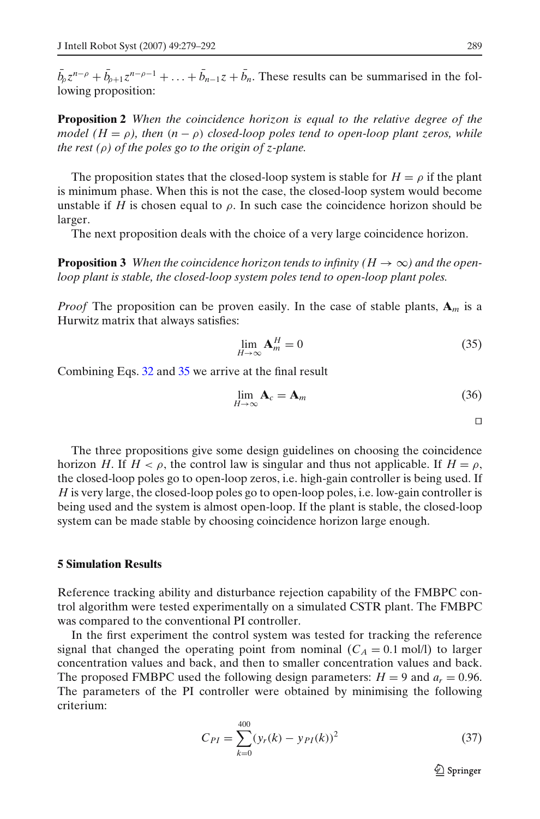<span id="page-10-0"></span> $b_0 z^{n-\rho} + b_{\rho+1} z^{n-\rho-1} + \ldots + b_{n-1} z + b_n$ . These results can be summarised in the following proposition:

**Proposition 2** *When the coincidence horizon is equal to the relative degree of the model*  $(H = \rho)$ , then  $(n - \rho)$  *closed-loop poles tend to open-loop plant zeros, while the rest (*ρ*) of the poles go to the origin of z-plane.*

The proposition states that the closed-loop system is stable for  $H = \rho$  if the plant is minimum phase. When this is not the case, the closed-loop system would become unstable if *H* is chosen equal to  $\rho$ . In such case the coincidence horizon should be larger.

The next proposition deals with the choice of a very large coincidence horizon.

**Proposition 3** *When the coincidence horizon tends to infinity (H*  $\rightarrow \infty$ *) and the openloop plant is stable, the closed-loop system poles tend to open-loop plant poles.*

*Proof* The proposition can be proven easily. In the case of stable plants,  $\mathbf{A}_m$  is a Hurwitz matrix that always satisfies:

$$
\lim_{H \to \infty} \mathbf{A}_m^H = 0 \tag{35}
$$

Combining Eqs. [32](#page-9-0) and 35 we arrive at the final result

$$
\lim_{H \to \infty} \mathbf{A}_c = \mathbf{A}_m \tag{36}
$$

 $\Box$ 

The three propositions give some design guidelines on choosing the coincidence horizon *H*. If  $H < \rho$ , the control law is singular and thus not applicable. If  $H = \rho$ , the closed-loop poles go to open-loop zeros, i.e. high-gain controller is being used. If *H* is very large, the closed-loop poles go to open-loop poles, i.e. low-gain controller is being used and the system is almost open-loop. If the plant is stable, the closed-loop system can be made stable by choosing coincidence horizon large enough.

#### **5 Simulation Results**

Reference tracking ability and disturbance rejection capability of the FMBPC control algorithm were tested experimentally on a simulated CSTR plant. The FMBPC was compared to the conventional PI controller.

In the first experiment the control system was tested for tracking the reference signal that changed the operating point from nominal  $(C_A = 0.1 \text{ mol/l})$  to larger concentration values and back, and then to smaller concentration values and back. The proposed FMBPC used the following design parameters:  $H = 9$  and  $a_r = 0.96$ . The parameters of the PI controller were obtained by minimising the following criterium:

$$
C_{PI} = \sum_{k=0}^{400} (y_r(k) - y_{PI}(k))^2
$$
 (37)

2 Springer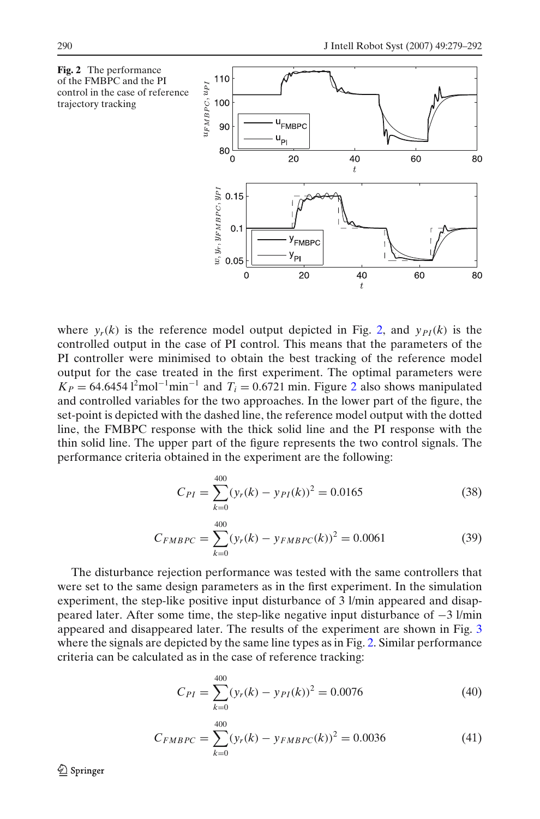

where  $y_r(k)$  is the reference model output depicted in Fig. 2, and  $y_{PI}(k)$  is the controlled output in the case of PI control. This means that the parameters of the PI controller were minimised to obtain the best tracking of the reference model output for the case treated in the first experiment. The optimal parameters were  $K_P = 64.6454 \, \mathrm{I}^2 \text{mol}^{-1} \text{min}^{-1}$  and  $T_i = 0.6721 \text{ min}$ . Figure 2 also shows manipulated and controlled variables for the two approaches. In the lower part of the figure, the set-point is depicted with the dashed line, the reference model output with the dotted line, the FMBPC response with the thick solid line and the PI response with the thin solid line. The upper part of the figure represents the two control signals. The performance criteria obtained in the experiment are the following:

$$
C_{PI} = \sum_{k=0}^{400} (y_r(k) - y_{PI}(k))^2 = 0.0165
$$
 (38)

$$
C_{FMBPC} = \sum_{k=0}^{400} (y_r(k) - y_{FMBPC}(k))^2 = 0.0061
$$
 (39)

The disturbance rejection performance was tested with the same controllers that were set to the same design parameters as in the first experiment. In the simulation experiment, the step-like positive input disturbance of 3 l/min appeared and disappeared later. After some time, the step-like negative input disturbance of −3 l/min appeared and disappeared later. The results of the experiment are shown in Fig. [3](#page-12-0) where the signals are depicted by the same line types as in Fig. 2. Similar performance criteria can be calculated as in the case of reference tracking:

$$
C_{PI} = \sum_{k=0}^{400} (y_r(k) - y_{PI}(k))^2 = 0.0076
$$
 (40)

$$
C_{FMBPC} = \sum_{k=0}^{400} (y_r(k) - y_{FMBPC}(k))^2 = 0.0036
$$
 (41)

 $\mathcal{Q}$  Springer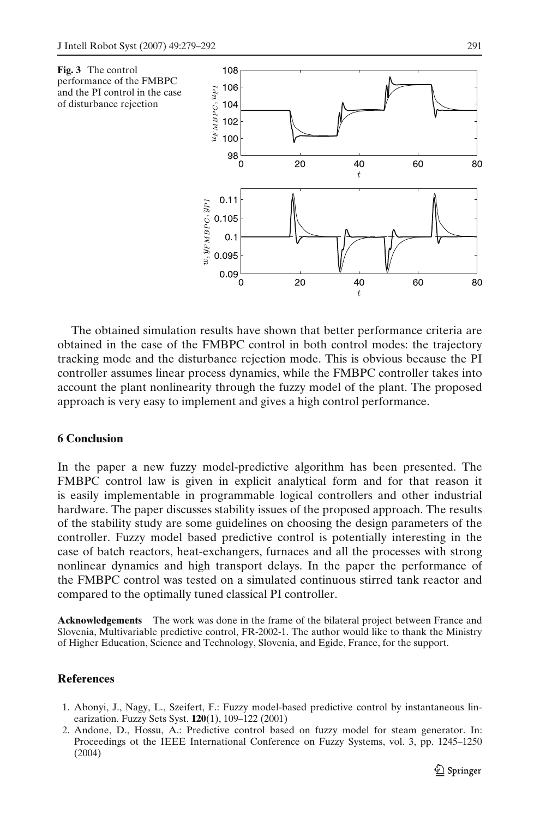<span id="page-12-0"></span>

The obtained simulation results have shown that better performance criteria are obtained in the case of the FMBPC control in both control modes: the trajectory tracking mode and the disturbance rejection mode. This is obvious because the PI controller assumes linear process dynamics, while the FMBPC controller takes into account the plant nonlinearity through the fuzzy model of the plant. The proposed approach is very easy to implement and gives a high control performance.

## **6 Conclusion**

In the paper a new fuzzy model-predictive algorithm has been presented. The FMBPC control law is given in explicit analytical form and for that reason it is easily implementable in programmable logical controllers and other industrial hardware. The paper discusses stability issues of the proposed approach. The results of the stability study are some guidelines on choosing the design parameters of the controller. Fuzzy model based predictive control is potentially interesting in the case of batch reactors, heat-exchangers, furnaces and all the processes with strong nonlinear dynamics and high transport delays. In the paper the performance of the FMBPC control was tested on a simulated continuous stirred tank reactor and compared to the optimally tuned classical PI controller.

**Acknowledgements** The work was done in the frame of the bilateral project between France and Slovenia, Multivariable predictive control, FR-2002-1. The author would like to thank the Ministry of Higher Education, Science and Technology, Slovenia, and Egide, France, for the support.

## **References**

- 1. Abonyi, J., Nagy, L., Szeifert, F.: Fuzzy model-based predictive control by instantaneous linearization. Fuzzy Sets Syst. **120**(1), 109–122 (2001)
- 2. Andone, D., Hossu, A.: Predictive control based on fuzzy model for steam generator. In: Proceedings ot the IEEE International Conference on Fuzzy Systems, vol. 3, pp. 1245–1250 (2004)